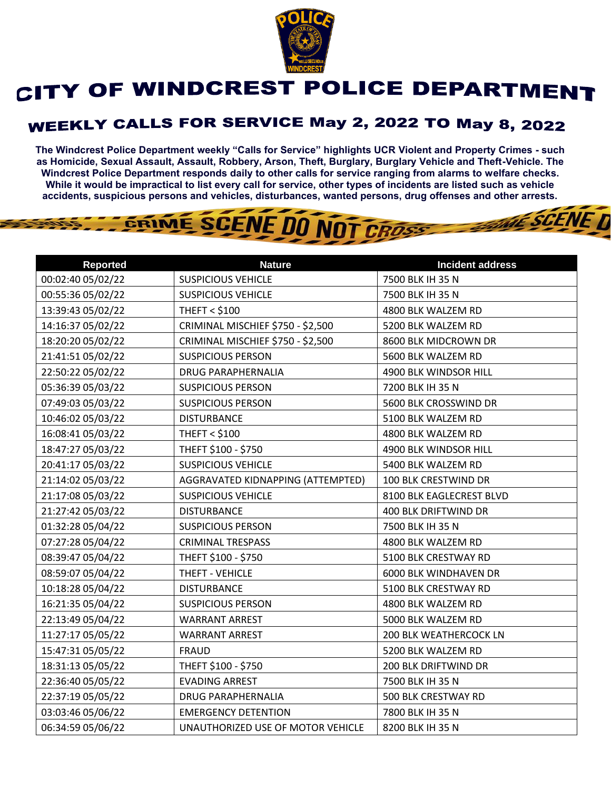

## CITY OF WINDCREST POLICE DEPARTMENT

## **WEEKLY CALLS FOR SERVICE May 2, 2022 TO May 8, 2022**

**The Windcrest Police Department weekly "Calls for Service" highlights UCR Violent and Property Crimes - such as Homicide, Sexual Assault, Assault, Robbery, Arson, Theft, Burglary, Burglary Vehicle and Theft-Vehicle. The Windcrest Police Department responds daily to other calls for service ranging from alarms to welfare checks. While it would be impractical to list every call for service, other types of incidents are listed such as vehicle accidents, suspicious persons and vehicles, disturbances, wanted persons, drug offenses and other arrests.** 

**THE SCENE D** 

## GRIME SCENE DO NOT CROSS

| <b>Reported</b>   | <b>Nature</b>                     | <b>Incident address</b>       |
|-------------------|-----------------------------------|-------------------------------|
| 00:02:40 05/02/22 | <b>SUSPICIOUS VEHICLE</b>         | 7500 BLK IH 35 N              |
| 00:55:36 05/02/22 | <b>SUSPICIOUS VEHICLE</b>         | 7500 BLK IH 35 N              |
| 13:39:43 05/02/22 | <b>THEFT &lt; \$100</b>           | 4800 BLK WALZEM RD            |
| 14:16:37 05/02/22 | CRIMINAL MISCHIEF \$750 - \$2,500 | 5200 BLK WALZEM RD            |
| 18:20:20 05/02/22 | CRIMINAL MISCHIEF \$750 - \$2,500 | 8600 BLK MIDCROWN DR          |
| 21:41:51 05/02/22 | <b>SUSPICIOUS PERSON</b>          | 5600 BLK WALZEM RD            |
| 22:50:22 05/02/22 | <b>DRUG PARAPHERNALIA</b>         | 4900 BLK WINDSOR HILL         |
| 05:36:39 05/03/22 | <b>SUSPICIOUS PERSON</b>          | 7200 BLK IH 35 N              |
| 07:49:03 05/03/22 | <b>SUSPICIOUS PERSON</b>          | 5600 BLK CROSSWIND DR         |
| 10:46:02 05/03/22 | <b>DISTURBANCE</b>                | 5100 BLK WALZEM RD            |
| 16:08:41 05/03/22 | <b>THEFT &lt; \$100</b>           | 4800 BLK WALZEM RD            |
| 18:47:27 05/03/22 | THEFT \$100 - \$750               | 4900 BLK WINDSOR HILL         |
| 20:41:17 05/03/22 | <b>SUSPICIOUS VEHICLE</b>         | 5400 BLK WALZEM RD            |
| 21:14:02 05/03/22 | AGGRAVATED KIDNAPPING (ATTEMPTED) | 100 BLK CRESTWIND DR          |
| 21:17:08 05/03/22 | <b>SUSPICIOUS VEHICLE</b>         | 8100 BLK EAGLECREST BLVD      |
| 21:27:42 05/03/22 | <b>DISTURBANCE</b>                | 400 BLK DRIFTWIND DR          |
| 01:32:28 05/04/22 | <b>SUSPICIOUS PERSON</b>          | 7500 BLK IH 35 N              |
| 07:27:28 05/04/22 | <b>CRIMINAL TRESPASS</b>          | 4800 BLK WALZEM RD            |
| 08:39:47 05/04/22 | THEFT \$100 - \$750               | 5100 BLK CRESTWAY RD          |
| 08:59:07 05/04/22 | THEFT - VEHICLE                   | <b>6000 BLK WINDHAVEN DR</b>  |
| 10:18:28 05/04/22 | <b>DISTURBANCE</b>                | 5100 BLK CRESTWAY RD          |
| 16:21:35 05/04/22 | <b>SUSPICIOUS PERSON</b>          | 4800 BLK WALZEM RD            |
| 22:13:49 05/04/22 | <b>WARRANT ARREST</b>             | 5000 BLK WALZEM RD            |
| 11:27:17 05/05/22 | <b>WARRANT ARREST</b>             | <b>200 BLK WEATHERCOCK LN</b> |
| 15:47:31 05/05/22 | <b>FRAUD</b>                      | 5200 BLK WALZEM RD            |
| 18:31:13 05/05/22 | THEFT \$100 - \$750               | 200 BLK DRIFTWIND DR          |
| 22:36:40 05/05/22 | <b>EVADING ARREST</b>             | 7500 BLK IH 35 N              |
| 22:37:19 05/05/22 | <b>DRUG PARAPHERNALIA</b>         | 500 BLK CRESTWAY RD           |
| 03:03:46 05/06/22 | <b>EMERGENCY DETENTION</b>        | 7800 BLK IH 35 N              |
| 06:34:59 05/06/22 | UNAUTHORIZED USE OF MOTOR VEHICLE | 8200 BLK IH 35 N              |